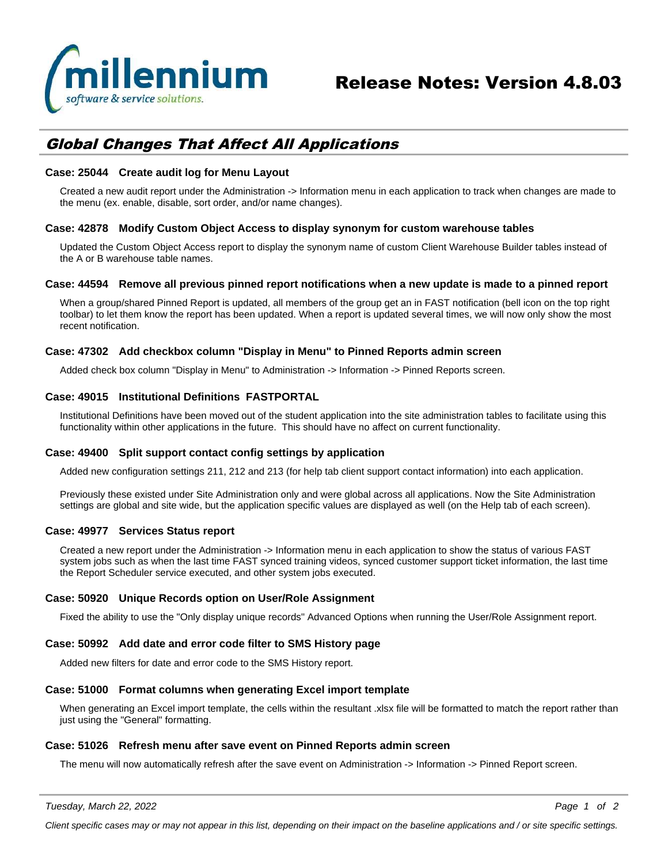

# *Global Changes That Affect All Applications*

# **Case: 25044 Create audit log for Menu Layout**

Created a new audit report under the Administration -> Information menu in each application to track when changes are made to the menu (ex. enable, disable, sort order, and/or name changes).

# **Case: 42878 Modify Custom Object Access to display synonym for custom warehouse tables**

Updated the Custom Object Access report to display the synonym name of custom Client Warehouse Builder tables instead of the A or B warehouse table names.

### **Case: 44594 Remove all previous pinned report notifications when a new update is made to a pinned report**

When a group/shared Pinned Report is updated, all members of the group get an in FAST notification (bell icon on the top right toolbar) to let them know the report has been updated. When a report is updated several times, we will now only show the most recent notification.

# **Case: 47302 Add checkbox column "Display in Menu" to Pinned Reports admin screen**

Added check box column "Display in Menu" to Administration -> Information -> Pinned Reports screen.

# **Case: 49015 Institutional Definitions FASTPORTAL**

Institutional Definitions have been moved out of the student application into the site administration tables to facilitate using this functionality within other applications in the future. This should have no affect on current functionality.

# **Case: 49400 Split support contact config settings by application**

Added new configuration settings 211, 212 and 213 (for help tab client support contact information) into each application.

Previously these existed under Site Administration only and were global across all applications. Now the Site Administration settings are global and site wide, but the application specific values are displayed as well (on the Help tab of each screen).

### **Case: 49977 Services Status report**

Created a new report under the Administration -> Information menu in each application to show the status of various FAST system jobs such as when the last time FAST synced training videos, synced customer support ticket information, the last time the Report Scheduler service executed, and other system jobs executed.

# **Case: 50920 Unique Records option on User/Role Assignment**

Fixed the ability to use the "Only display unique records" Advanced Options when running the User/Role Assignment report.

### **Case: 50992 Add date and error code filter to SMS History page**

Added new filters for date and error code to the SMS History report.

### **Case: 51000 Format columns when generating Excel import template**

When generating an Excel import template, the cells within the resultant .xlsx file will be formatted to match the report rather than just using the "General" formatting.

### **Case: 51026 Refresh menu after save event on Pinned Reports admin screen**

The menu will now automatically refresh after the save event on Administration -> Information -> Pinned Report screen.